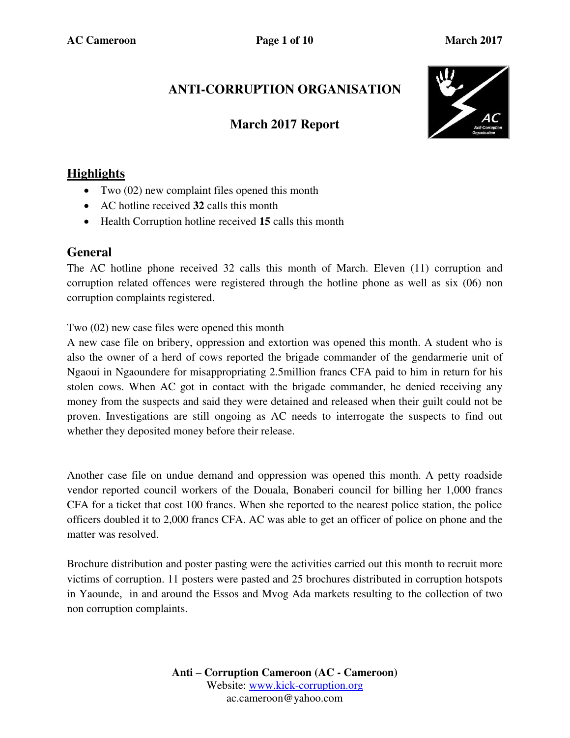# **ANTI-CORRUPTION ORGANISATION**

### **March 2017 Report**



## **Highlights**

- Two (02) new complaint files opened this month
- AC hotline received **32** calls this month
- Health Corruption hotline received **15** calls this month

#### **General**

The AC hotline phone received 32 calls this month of March. Eleven (11) corruption and corruption related offences were registered through the hotline phone as well as six (06) non corruption complaints registered.

Two (02) new case files were opened this month

A new case file on bribery, oppression and extortion was opened this month. A student who is also the owner of a herd of cows reported the brigade commander of the gendarmerie unit of Ngaoui in Ngaoundere for misappropriating 2.5million francs CFA paid to him in return for his stolen cows. When AC got in contact with the brigade commander, he denied receiving any money from the suspects and said they were detained and released when their guilt could not be proven. Investigations are still ongoing as AC needs to interrogate the suspects to find out whether they deposited money before their release.

Another case file on undue demand and oppression was opened this month. A petty roadside vendor reported council workers of the Douala, Bonaberi council for billing her 1,000 francs CFA for a ticket that cost 100 francs. When she reported to the nearest police station, the police officers doubled it to 2,000 francs CFA. AC was able to get an officer of police on phone and the matter was resolved.

Brochure distribution and poster pasting were the activities carried out this month to recruit more victims of corruption. 11 posters were pasted and 25 brochures distributed in corruption hotspots in Yaounde, in and around the Essos and Mvog Ada markets resulting to the collection of two non corruption complaints.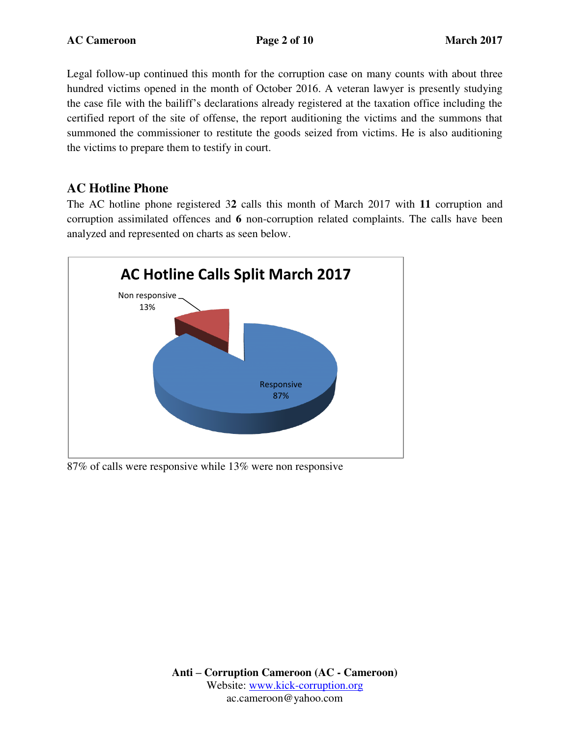Legal follow-up continued this month for the corruption case on many counts with about three hundred victims opened in the month of October 2016. A veteran lawyer is presently studying the case file with the bailiff's declarations already registered at the taxation office including the certified report of the site of offense, the report auditioning the victims and the summons that summoned the commissioner to restitute the goods seized from victims. He is also auditioning the victims to prepare them to testify in court.

### **AC Hotline Phone**

The AC hotline phone registered 3**2** calls this month of March 2017 with **11** corruption and corruption assimilated offences and **6** non-corruption related complaints. The calls have been analyzed and represented on charts as seen below.



87% of calls were responsive while 13% were non responsive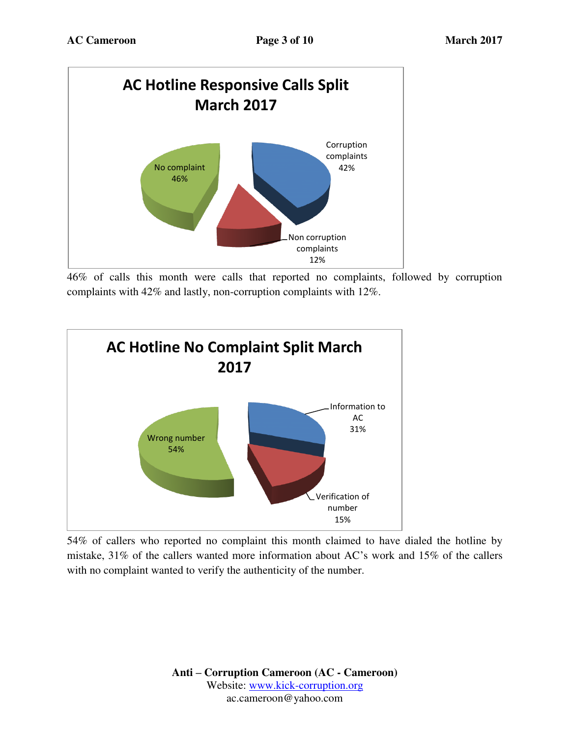

46% of calls this month were calls that reported no complaints, followed by corruption complaints with 42% and lastly, non-corruption complaints with 12%.



54% of callers who reported no complaint this month claimed to have dialed the hotline by mistake, 31% of the callers wanted more information about AC's work and 15% of the callers with no complaint wanted to verify the authenticity of the number.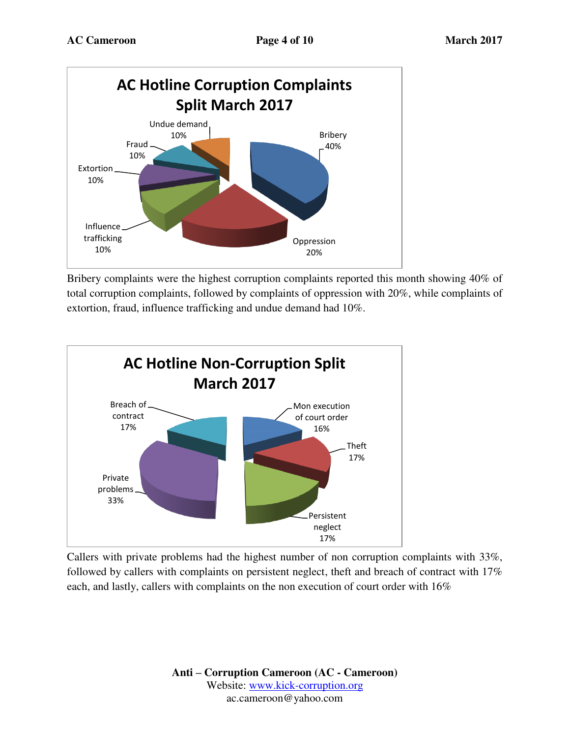

Bribery complaints were the highest corruption complaints reported this month showing 40% of total corruption complaints, followed by complaints of oppression with 20%, while complaints of extortion, fraud, influence trafficking and undue demand had 10%.



Callers with private problems had the highest number of non corruption complaints with 33%, followed by callers with complaints on persistent neglect, theft and breach of contract with 17% each, and lastly, callers with complaints on the non execution of court order with 16%

> **Anti – Corruption Cameroon (AC - Cameroon)** Website: [www.kick-corruption.org](http://www.kick-corruption.org/) ac.cameroon@yahoo.com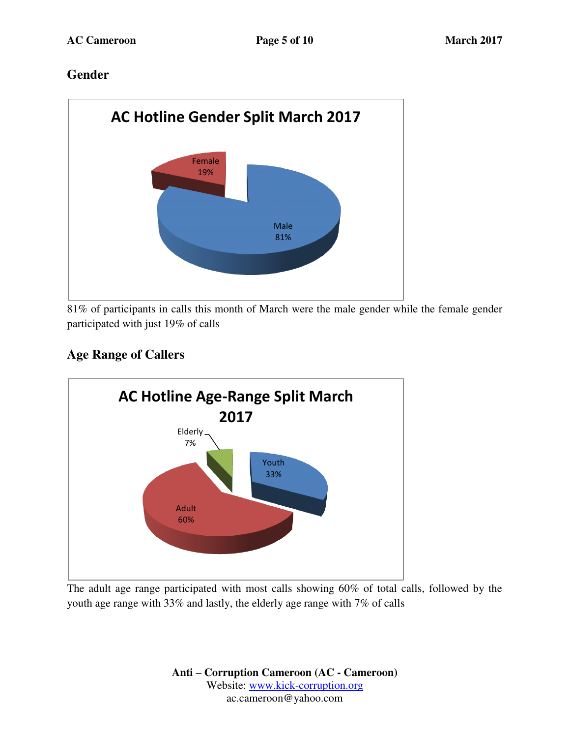### **Gender**



81% of participants in calls this month of March were the male gender while the female gender participated with just 19% of calls

## **Age Range of Callers**



The adult age range participated with most calls showing 60% of total calls, followed by the youth age range with 33% and lastly, the elderly age range with 7% of calls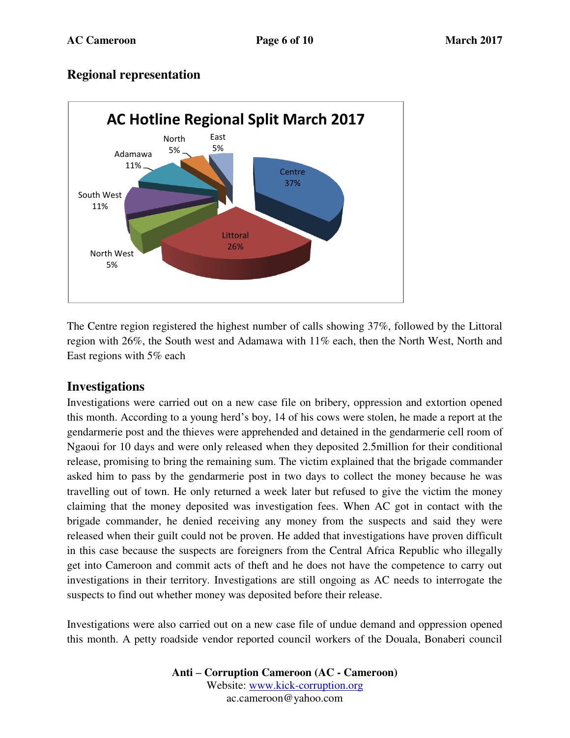#### **Regional representation**



The Centre region registered the highest number of calls showing 37%, followed by the Littoral region with 26%, the South west and Adamawa with 11% each, then the North West, North and East regions with 5% each

#### **Investigations**

Investigations were carried out on a new case file on bribery, oppression and extortion opened this month. According to a young herd's boy, 14 of his cows were stolen, he made a report at the gendarmerie post and the thieves were apprehended and detained in the gendarmerie cell room of Ngaoui for 10 days and were only released when they deposited 2.5million for their conditional release, promising to bring the remaining sum. The victim explained that the brigade commander asked him to pass by the gendarmerie post in two days to collect the money because he was travelling out of town. He only returned a week later but refused to give the victim the money claiming that the money deposited was investigation fees. When AC got in contact with the brigade commander, he denied receiving any money from the suspects and said they were released when their guilt could not be proven. He added that investigations have proven difficult in this case because the suspects are foreigners from the Central Africa Republic who illegally get into Cameroon and commit acts of theft and he does not have the competence to carry out investigations in their territory. Investigations are still ongoing as AC needs to interrogate the suspects to find out whether money was deposited before their release.

Investigations were also carried out on a new case file of undue demand and oppression opened this month. A petty roadside vendor reported council workers of the Douala, Bonaberi council

> **Anti – Corruption Cameroon (AC - Cameroon)** Website: [www.kick-corruption.org](http://www.kick-corruption.org/) ac.cameroon@yahoo.com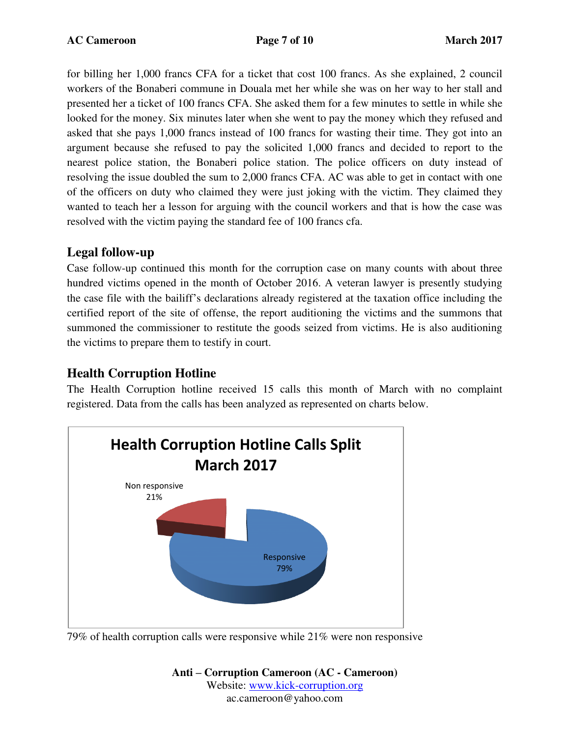for billing her 1,000 francs CFA for a ticket that cost 100 francs. As she explained, 2 council workers of the Bonaberi commune in Douala met her while she was on her way to her stall and presented her a ticket of 100 francs CFA. She asked them for a few minutes to settle in while she looked for the money. Six minutes later when she went to pay the money which they refused and asked that she pays 1,000 francs instead of 100 francs for wasting their time. They got into an argument because she refused to pay the solicited 1,000 francs and decided to report to the nearest police station, the Bonaberi police station. The police officers on duty instead of resolving the issue doubled the sum to 2,000 francs CFA. AC was able to get in contact with one of the officers on duty who claimed they were just joking with the victim. They claimed they wanted to teach her a lesson for arguing with the council workers and that is how the case was resolved with the victim paying the standard fee of 100 francs cfa.

### **Legal follow-up**

Case follow-up continued this month for the corruption case on many counts with about three hundred victims opened in the month of October 2016. A veteran lawyer is presently studying the case file with the bailiff's declarations already registered at the taxation office including the certified report of the site of offense, the report auditioning the victims and the summons that summoned the commissioner to restitute the goods seized from victims. He is also auditioning the victims to prepare them to testify in court.

### **Health Corruption Hotline**

The Health Corruption hotline received 15 calls this month of March with no complaint registered. Data from the calls has been analyzed as represented on charts below.



79% of health corruption calls were responsive while 21% were non responsive

**Anti – Corruption Cameroon (AC - Cameroon)** Website: [www.kick-corruption.org](http://www.kick-corruption.org/) ac.cameroon@yahoo.com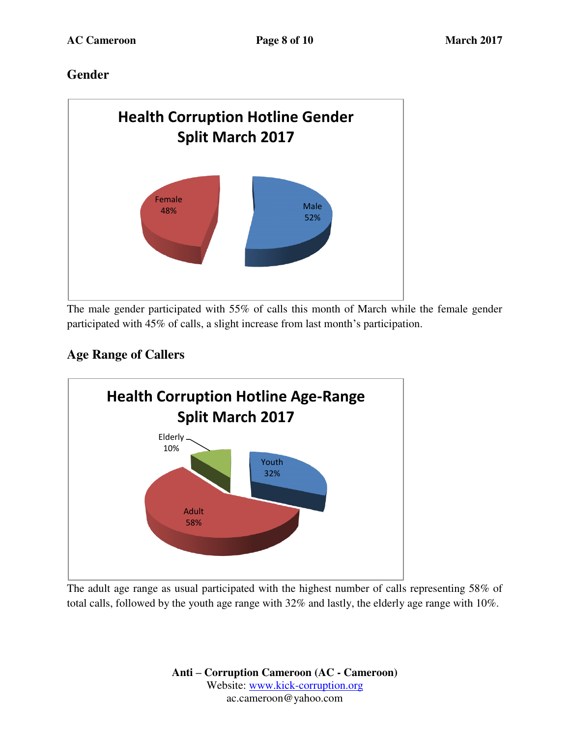## **Gender**



The male gender participated with 55% of calls this month of March while the female gender participated with 45% of calls, a slight increase from last month's participation.

# **Age Range of Callers**



The adult age range as usual participated with the highest number of calls representing 58% of total calls, followed by the youth age range with 32% and lastly, the elderly age range with 10%.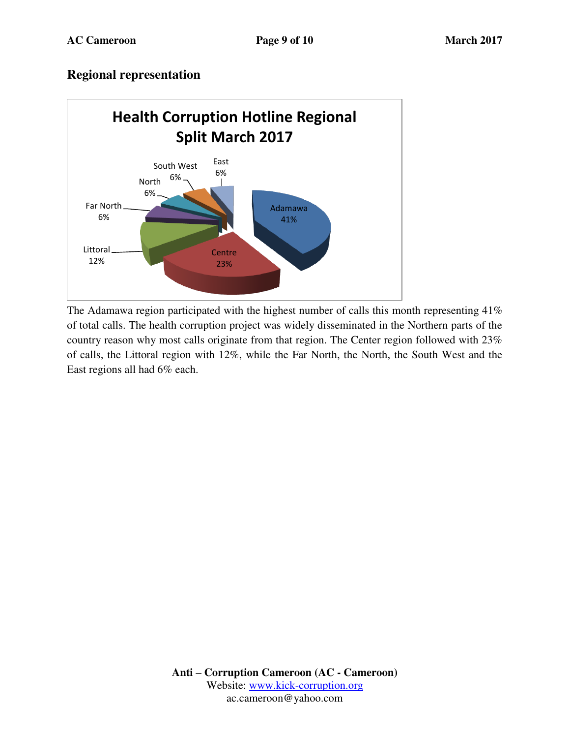#### **Regional representation**



The Adamawa region participated with the highest number of calls this month representing 41% of total calls. The health corruption project was widely disseminated in the Northern parts of the country reason why most calls originate from that region. The Center region followed with 23% of calls, the Littoral region with 12%, while the Far North, the North, the South West and the East regions all had 6% each.